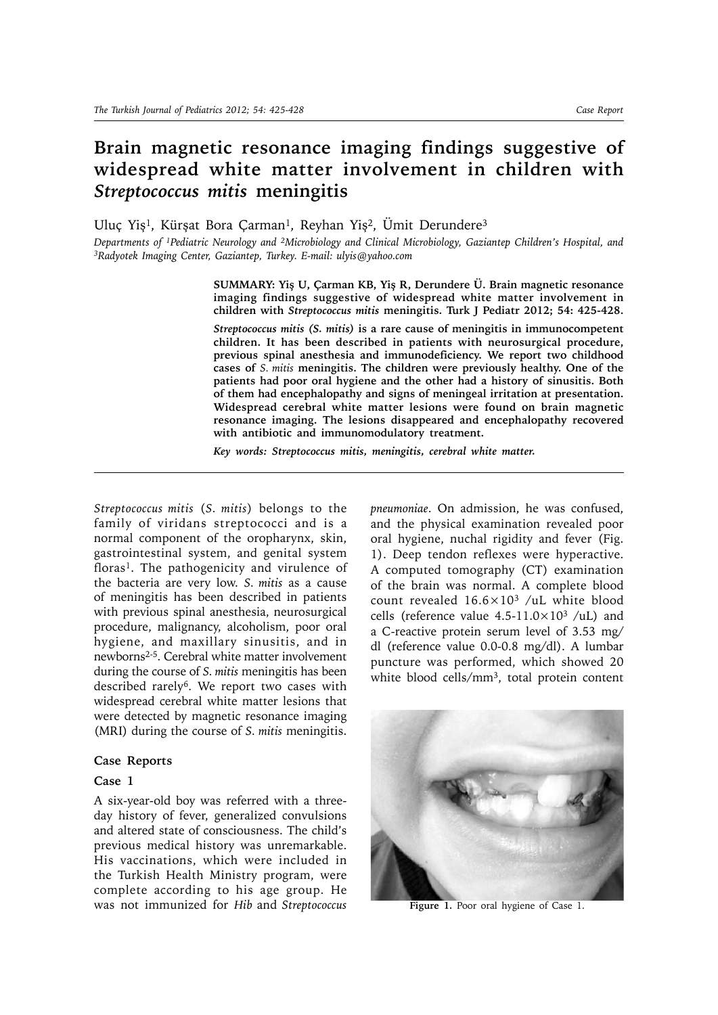# **Brain magnetic resonance imaging findings suggestive of widespread white matter involvement in children with**  *Streptococcus mitis* **meningitis**

Uluç Yiş<sup>1</sup>, Kürşat Bora Çarman<sup>1</sup>, Reyhan Yiş<sup>2</sup>, Ümit Derundere<sup>3</sup>

*Departments of 1Pediatric Neurology and 2Microbiology and Clinical Microbiology, Gaziantep Children's Hospital, and 3Radyotek Imaging Center, Gaziantep, Turkey. E-mail: ulyis@yahoo.com*

**SUMMARY: Yiş U, Çarman KB, Yiş R, Derundere Ü. Brain magnetic resonance imaging findings suggestive of widespread white matter involvement in children with** *Streptococcus mitis* **meningitis. Turk J Pediatr 2012; 54: 425-428.**

*Streptococcus mitis (S. mitis)* **is a rare cause of meningitis in immunocompetent children. It has been described in patients with neurosurgical procedure, previous spinal anesthesia and immunodeficiency. We report two childhood cases of** *S. mitis* **meningitis. The children were previously healthy. One of the patients had poor oral hygiene and the other had a history of sinusitis. Both of them had encephalopathy and signs of meningeal irritation at presentation. Widespread cerebral white matter lesions were found on brain magnetic resonance imaging. The lesions disappeared and encephalopathy recovered with antibiotic and immunomodulatory treatment.** 

*Key words: Streptococcus mitis, meningitis, cerebral white matter.*

*Streptococcus mitis* (*S. mitis*) belongs to the family of viridans streptococci and is a normal component of the oropharynx, skin, gastrointestinal system, and genital system floras<sup>1</sup>. The pathogenicity and virulence of the bacteria are very low. *S. mitis* as a cause of meningitis has been described in patients with previous spinal anesthesia, neurosurgical procedure, malignancy, alcoholism, poor oral hygiene, and maxillary sinusitis, and in newborns2-5. Cerebral white matter involvement during the course of *S. mitis* meningitis has been described rarely<sup>6</sup>. We report two cases with widespread cerebral white matter lesions that were detected by magnetic resonance imaging (MRI) during the course of *S. mitis* meningitis.

# **Case Reports**

#### **Case 1**

A six-year-old boy was referred with a threeday history of fever, generalized convulsions and altered state of consciousness. The child's previous medical history was unremarkable. His vaccinations, which were included in the Turkish Health Ministry program, were complete according to his age group. He was not immunized for *Hib* and *Streptococcus*  *pneumoniae*. On admission, he was confused, and the physical examination revealed poor oral hygiene, nuchal rigidity and fever (Fig. 1). Deep tendon reflexes were hyperactive. A computed tomography (CT) examination of the brain was normal. A complete blood count revealed  $16.6 \times 10^3$  /uL white blood cells (reference value  $4.5-11.0\times10^3$  /uL) and a C-reactive protein serum level of 3.53 mg/ dl (reference value 0.0-0.8 mg/dl). A lumbar puncture was performed, which showed 20 white blood cells/mm3, total protein content



Figure 1. Poor oral hygiene of Case 1.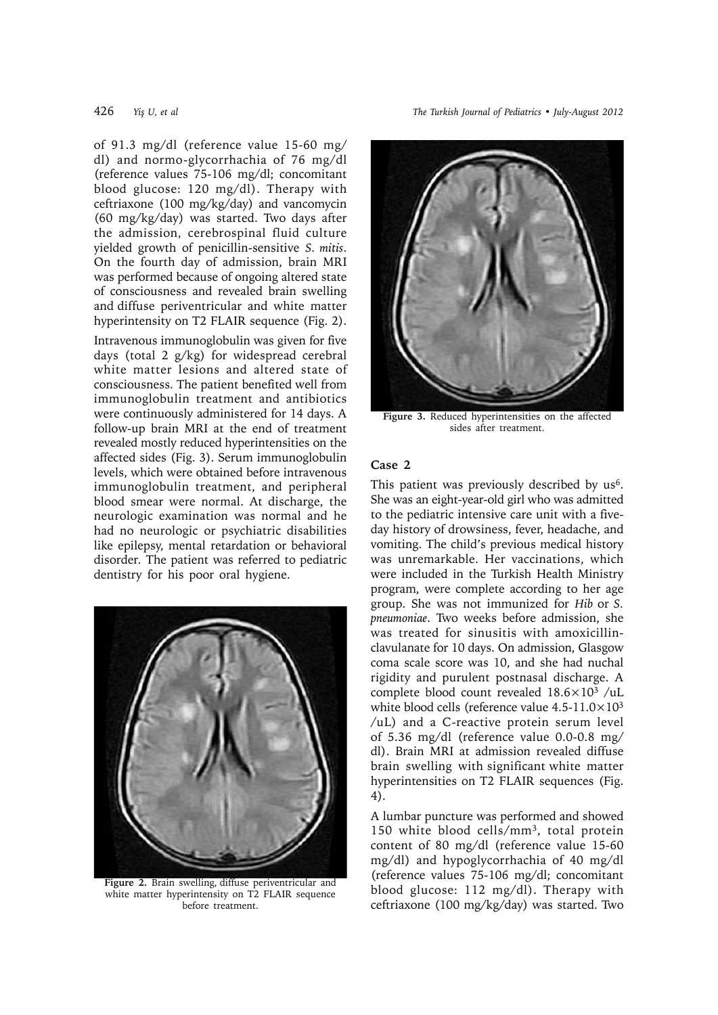426 *Yiş U, et al The Turkish Journal of Pediatrics • July-August 2012*

of 91.3 mg/dl (reference value 15-60 mg/ dl) and normo-glycorrhachia of 76 mg/dl (reference values 75-106 mg/dl; concomitant blood glucose: 120 mg/dl). Therapy with ceftriaxone (100 mg/kg/day) and vancomycin (60 mg/kg/day) was started. Two days after the admission, cerebrospinal fluid culture yielded growth of penicillin-sensitive *S. mitis*. On the fourth day of admission, brain MRI was performed because of ongoing altered state of consciousness and revealed brain swelling and diffuse periventricular and white matter hyperintensity on T2 FLAIR sequence (Fig. 2). Intravenous immunoglobulin was given for five days (total 2 g/kg) for widespread cerebral white matter lesions and altered state of consciousness. The patient benefited well from immunoglobulin treatment and antibiotics were continuously administered for 14 days. A follow-up brain MRI at the end of treatment revealed mostly reduced hyperintensities on the affected sides (Fig. 3). Serum immunoglobulin levels, which were obtained before intravenous immunoglobulin treatment, and peripheral blood smear were normal. At discharge, the neurologic examination was normal and he had no neurologic or psychiatric disabilities like epilepsy, mental retardation or behavioral disorder*.* The patient was referred to pediatric dentistry for his poor oral hygiene.



**Figure 2.** Brain swelling, diffuse periventricular and white matter hyperintensity on T2 FLAIR sequence before treatment.



**Figure 3.** Reduced hyperintensities on the affected sides after treatment.

# **Case 2**

This patient was previously described by us<sup>6</sup>. She was an eight-year-old girl who was admitted to the pediatric intensive care unit with a fiveday history of drowsiness, fever, headache, and vomiting. The child's previous medical history was unremarkable. Her vaccinations, which were included in the Turkish Health Ministry program, were complete according to her age group. She was not immunized for *Hib* or *S. pneumoniae*. Two weeks before admission, she was treated for sinusitis with amoxicillinclavulanate for 10 days. On admission, Glasgow coma scale score was 10, and she had nuchal rigidity and purulent postnasal discharge. A complete blood count revealed 18.6×103 /uL white blood cells (reference value  $4.5-11.0\times10^{3}$ ) /uL) and a C-reactive protein serum level of 5.36 mg/dl (reference value 0.0-0.8 mg/ dl). Brain MRI at admission revealed diffuse brain swelling with significant white matter hyperintensities on T2 FLAIR sequences (Fig. 4).

A lumbar puncture was performed and showed 150 white blood cells/mm3, total protein content of 80 mg/dl (reference value 15-60 mg/dl) and hypoglycorrhachia of 40 mg/dl (reference values 75-106 mg/dl; concomitant blood glucose: 112 mg/dl). Therapy with ceftriaxone (100 mg/kg/day) was started. Two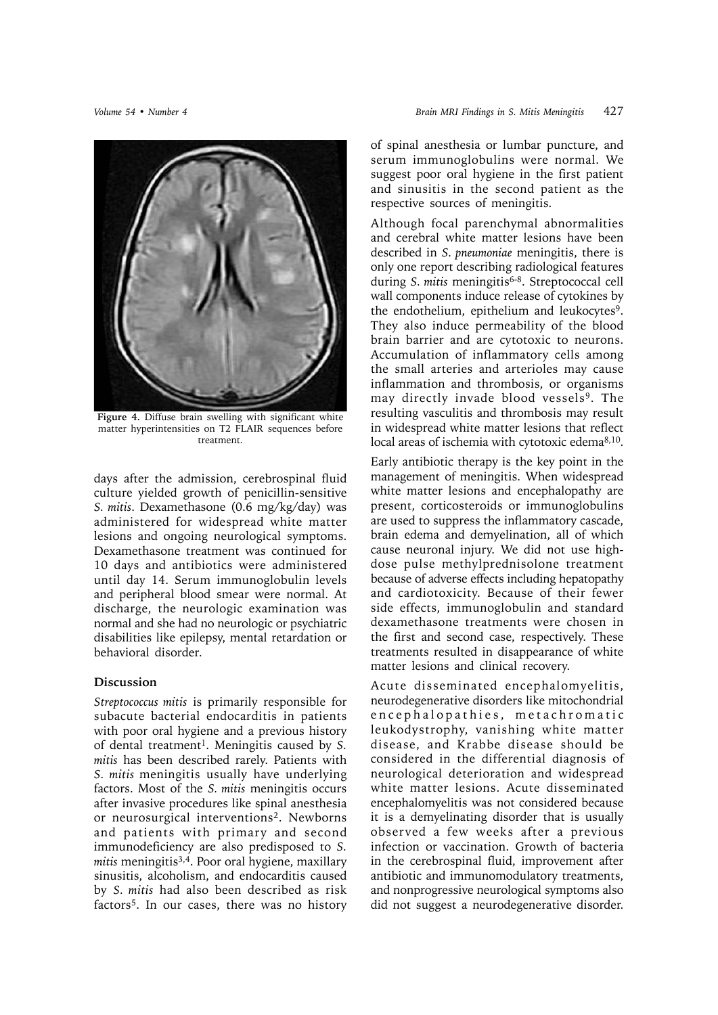

Figure 4. Diffuse brain swelling with significant white matter hyperintensities on T2 FLAIR sequences before treatment.

days after the admission, cerebrospinal fluid culture yielded growth of penicillin-sensitive *S. mitis*. Dexamethasone (0.6 mg/kg/day) was administered for widespread white matter lesions and ongoing neurological symptoms. Dexamethasone treatment was continued for 10 days and antibiotics were administered until day 14. Serum immunoglobulin levels and peripheral blood smear were normal. At discharge, the neurologic examination was normal and she had no neurologic or psychiatric disabilities like epilepsy, mental retardation or behavioral disorder*.*

### **Discussion**

*Streptococcus mitis* is primarily responsible for subacute bacterial endocarditis in patients with poor oral hygiene and a previous history of dental treatment1. Meningitis caused by *S. mitis* has been described rarely. Patients with *S. mitis* meningitis usually have underlying factors. Most of the *S. mitis* meningitis occurs after invasive procedures like spinal anesthesia or neurosurgical interventions2. Newborns and patients with primary and second immunodeficiency are also predisposed to *S. mitis* meningitis3,4. Poor oral hygiene, maxillary sinusitis, alcoholism, and endocarditis caused by *S. mitis* had also been described as risk factors5. In our cases, there was no history of spinal anesthesia or lumbar puncture, and serum immunoglobulins were normal. We suggest poor oral hygiene in the first patient and sinusitis in the second patient as the respective sources of meningitis.

Although focal parenchymal abnormalities and cerebral white matter lesions have been described in *S. pneumoniae* meningitis, there is only one report describing radiological features during *S. mitis* meningitis<sup>6-8</sup>. Streptococcal cell wall components induce release of cytokines by the endothelium, epithelium and leukocytes<sup>9</sup>. They also induce permeability of the blood brain barrier and are cytotoxic to neurons. Accumulation of inflammatory cells among the small arteries and arterioles may cause inflammation and thrombosis, or organisms may directly invade blood vessels<sup>9</sup>. The resulting vasculitis and thrombosis may result in widespread white matter lesions that reflect local areas of ischemia with cytotoxic edema<sup>8,10</sup>.

Early antibiotic therapy is the key point in the management of meningitis. When widespread white matter lesions and encephalopathy are present, corticosteroids or immunoglobulins are used to suppress the inflammatory cascade, brain edema and demyelination, all of which cause neuronal injury. We did not use highdose pulse methylprednisolone treatment because of adverse effects including hepatopathy and cardiotoxicity. Because of their fewer side effects, immunoglobulin and standard dexamethasone treatments were chosen in the first and second case, respectively. These treatments resulted in disappearance of white matter lesions and clinical recovery.

Acute disseminated encephalomyelitis, neurodegenerative disorders like mitochondrial encephalopathies, metachromatic leukodystrophy, vanishing white matter disease, and Krabbe disease should be considered in the differential diagnosis of neurological deterioration and widespread white matter lesions. Acute disseminated encephalomyelitis was not considered because it is a demyelinating disorder that is usually observed a few weeks after a previous infection or vaccination. Growth of bacteria in the cerebrospinal fluid, improvement after antibiotic and immunomodulatory treatments, and nonprogressive neurological symptoms also did not suggest a neurodegenerative disorder.